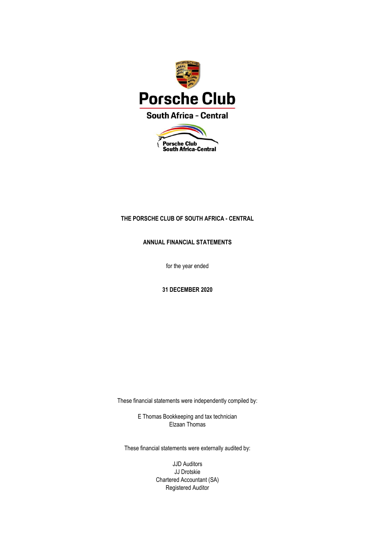

## **THE PORSCHE CLUB OF SOUTH AFRICA - CENTRAL**

## **ANNUAL FINANCIAL STATEMENTS**

for the year ended

**31 DECEMBER 2020**

These financial statements were independently compiled by:

E Thomas Bookkeeping and tax technician Elzaan Thomas

These financial statements were externally audited by:

JJD Auditors JJ Drotskie Chartered Accountant (SA) Registered Auditor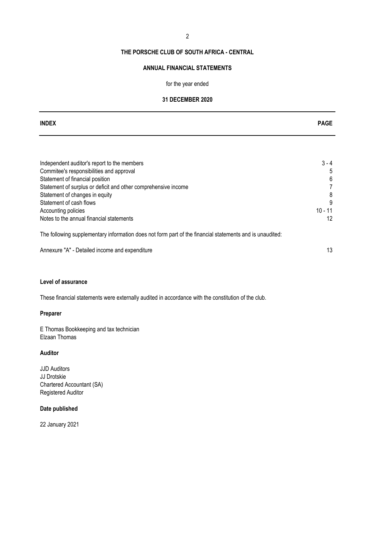### **THE PORSCHE CLUB OF SOUTH AFRICA - CENTRAL**

## **ANNUAL FINANCIAL STATEMENTS**

### for the year ended

### **31 DECEMBER 2020**

| <b>PAGE</b> |
|-------------|
|             |
| $3 - 4$     |
| 5           |
| 6           |
|             |
| 8           |
| 9           |
| 10 - 11     |
| 12          |
|             |
| 13          |
|             |

### **Level of assurance**

These financial statements were externally audited in accordance with the constitution of the club.

## **Preparer**

E Thomas Bookkeeping and tax technician Elzaan Thomas

### **Auditor**

JJD Auditors JJ Drotskie Chartered Accountant (SA) Registered Auditor

### **Date published**

22 January 2021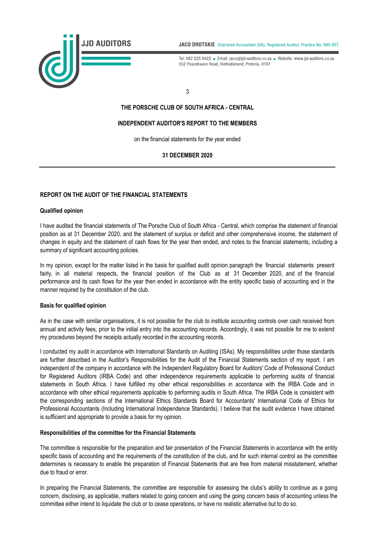

JACO DROTSKIE Chartered Accountant (SA), Registered Auditor, Practice No: 995-857

Tel: 082 225 9422 Email: jaco@jjd-auditors.co.za Website: www.jjd-auditors.co.za 552 Peacehaven Road, Rietvalleirand, Pretoria, 0181

3

### **THE PORSCHE CLUB OF SOUTH AFRICA - CENTRAL**

### **INDEPENDENT AUDITOR'S REPORT TO THE MEMBERS**

on the financial statements for the year ended

### **31 DECEMBER 2020**

### **REPORT ON THE AUDIT OF THE FINANCIAL STATEMENTS**

### **Qualified opinion**

I have audited the financial statements of The Porsche Club of South Africa - Central, which comprise the statement of financial position as at 31 December 2020, and the statement of surplus or deficit and other comprehensive income, the statement of changes in equity and the statement of cash flows for the year then ended, and notes to the financial statements, including a summary of significant accounting policies.

In my opinion, except for the matter listed in the basis for qualified audit opinion paragraph the financial statements present fairly, in all material respects, the financial position of the Club as at 31 December 2020, and of the financial performance and its cash flows for the year then ended in accordance with the entity specific basis of accounting and in the manner required by the constitution of the club.

### **Basis for qualified opinion**

As in the case with similar organisations, it is not possible for the club to institute accounting controls over cash received from annual and activity fees, prior to the initial entry into the accounting records. Accordingly, it was not possible for me to extend my procedures beyond the receipts actually recorded in the accounting records.

I conducted my audit in accordance with International Standards on Auditing (ISAs). My responsibilities under those standards are further described in the Auditor's Responsibilities for the Audit of the Financial Statements section of my report. I am independent of the company in accordance with the Independent Regulatory Board for Auditors' Code of Professional Conduct for Registered Auditors (IRBA Code) and other independence requirements applicable to performing audits of financial statements in South Africa. I have fulfilled my other ethical responsibilities in accordance with the IRBA Code and in accordance with other ethical requirements applicable to performing audits in South Africa. The IRBA Code is consistent with the corresponding sections of the International Ethics Standards Board for Accountants' International Code of Ethics for Professional Accountants (Including International Independence Standards). I believe that the audit evidence I have obtained is sufficient and appropriate to provide a basis for my opinion.

### **Responsibilities of the committee for the Financial Statements**

The committee is responsible for the preparation and fair presentation of the Financial Statements in accordance with the entity specific basis of accounting and the requirements of the constitution of the club, and for such internal control as the committee determines is necessary to enable the preparation of Financial Statements that are free from material misstatement, whether due to fraud or error.

In preparing the Financial Statements, the committee are responsible for assessing the clubs's ability to continue as a going concern, disclosing, as applicable, matters related to going concern and using the going concern basis of accounting unless the committee either intend to liquidate the club or to cease operations, or have no realistic alternative but to do so.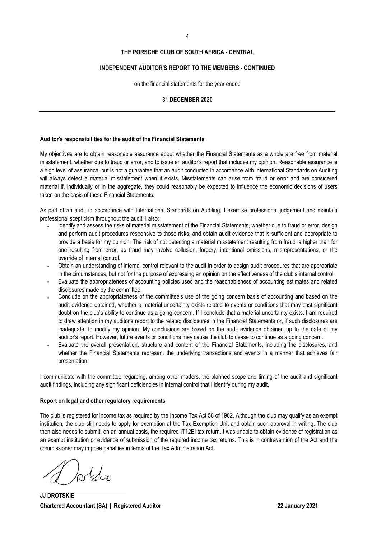### **THE PORSCHE CLUB OF SOUTH AFRICA - CENTRAL**

### **INDEPENDENT AUDITOR'S REPORT TO THE MEMBERS - CONTINUED**

on the financial statements for the year ended

#### **31 DECEMBER 2020**

#### **Auditor's responsibilities for the audit of the Financial Statements**

My objectives are to obtain reasonable assurance about whether the Financial Statements as a whole are free from material misstatement, whether due to fraud or error, and to issue an auditor's report that includes my opinion. Reasonable assurance is a high level of assurance, but is not a guarantee that an audit conducted in accordance with International Standards on Auditing will always detect a material misstatement when it exists. Misstatements can arise from fraud or error and are considered material if, individually or in the aggregate, they could reasonably be expected to influence the economic decisions of users taken on the basis of these Financial Statements.

As part of an audit in accordance with International Standards on Auditing, I exercise professional judgement and maintain professional scepticism throughout the audit. I also:

- Identify and assess the risks of material misstatement of the Financial Statements, whether due to fraud or error, design and perform audit procedures responsive to those risks, and obtain audit evidence that is sufficient and appropriate to provide a basis for my opinion. The risk of not detecting a material misstatement resulting from fraud is higher than for one resulting from error, as fraud may involve collusion, forgery, intentional omissions, misrepresentations, or the override of internal control.
- Obtain an understanding of internal control relevant to the audit in order to design audit procedures that are appropriate in the circumstances, but not for the purpose of expressing an opinion on the effectiveness of the club's internal control.
- Evaluate the appropriateness of accounting policies used and the reasonableness of accounting estimates and related disclosures made by the committee.
- Conclude on the appropriateness of the committee's use of the going concern basis of accounting and based on the audit evidence obtained, whether a material uncertainty exists related to events or conditions that may cast significant doubt on the club's ability to continue as a going concern. If I conclude that a material uncertainty exists, I am required to draw attention in my auditor's report to the related disclosures in the Financial Statements or, if such disclosures are inadequate, to modify my opinion. My conclusions are based on the audit evidence obtained up to the date of my auditor's report. However, future events or conditions may cause the club to cease to continue as a going concern.
- Evaluate the overall presentation, structure and content of the Financial Statements, including the disclosures, and whether the Financial Statements represent the underlying transactions and events in a manner that achieves fair presentation.

I communicate with the committee regarding, among other matters, the planned scope and timing of the audit and significant audit findings, including any significant deficiencies in internal control that I identify during my audit.

#### **Report on legal and other regulatory requirements**

The club is registered for income tax as required by the Income Tax Act 58 of 1962. Although the club may qualify as an exempt institution, the club still needs to apply for exemption at the Tax Exemption Unit and obtain such approval in writing. The club then also needs to submit, on an annual basis, the required IT12EI tax return. I was unable to obtain evidence of registration as an exempt institution or evidence of submission of the required income tax returns. This is in contravention of the Act and the commissioner may impose penalties in terms of the Tax Administration Act.

kte

**JJ DROTSKIE Chartered Accountant (SA) | Registered Auditor 22 January 2021**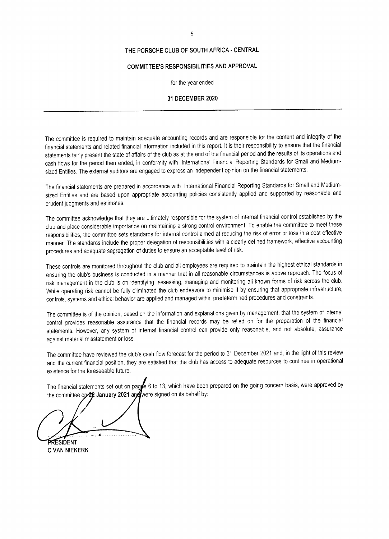### THE PORSCHE CLUB OF SOUTH AFRICA - CENTRAL

### COMMITTEE'S RESPONSIBILITIES AND APPROVAL

for the year ended

### 31 DECEMBER 2020

The committee is required to maintain adequate accounting records and are responsible for the content and integrity of the financial statements and related financial information included in this report. It is their responsibility to ensure that the financial statements fairly present the state of affairs of the club as at the end of the financial period and the results of its operations and cash flows for the period then ended, in conformity with International Financial Reporting Standards for Small and Mediumsized Entities. The external auditors are engaged to express an independent opinion on the financial statements.

The financial statements are prepared in accordance with International Financial Reporting Standards for Small and Mediumsized Entities and are based upon appropriate accounting policies consistently applied and supported by reasonable and prudent judgments and estimates.

The committee acknowledge that they are ultimately responsible for the system of internal financial control established by the club and place considerable importance on maintaining a strong control environment. To enable the committee to meet these responsibilities, the committee sets standards for internal control aimed at reducing the risk of error or loss in a cost effective manner. The standards include the proper delegation of responsibilities with a clearly defined framework, effective accounting procedures and adequate segregation of duties to ensure an acceptable level of risk.

These controls are monitored throughout the club and all employees are required to maintain the highest ethical standards in ensuring the club's business is conducted in a manner that in all reasonable circumstances is above reproach. The focus of risk management in the club is on identifying, assessing, managing and monitoring all known forms of risk across the club. While operating risk cannot be fully eliminated the club endeavors to minimise it by ensuring that appropriate infrastructure, controls, systems and ethical behavior are applied and managed within predetermined procedures and constraints.

The committee is of the opinion, based on the information and explanations given by management, that the system of internal control provides reasonable assurance that the financial records may be relied on for the preparation of the financial statements. However, any system of internal financial control can provide only reasonable, and not absolute, assurance against material misstatement or loss.

The committee have reviewed the club's cash flow forecast for the period to 31 December 2021 and, in the light of this review and the current financial position, they are satisfied that the club has access to adequate resources to continue in operational existence for the foreseeable future.

The financial statements set out on pags 6 to 13, which have been prepared on the going concern basis, were approved by the committee op 22 January 2021 and were signed on its behalf by:

RESIDENT

**C VAN NIEKERK**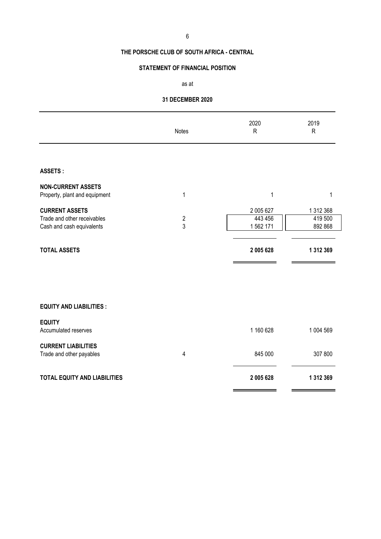## **THE PORSCHE CLUB OF SOUTH AFRICA - CENTRAL**

## **STATEMENT OF FINANCIAL POSITION**

as at

|                                                                                   | Notes           | 2020<br>$\mathsf{R}$              | 2019<br>$\mathsf{R}$            |
|-----------------------------------------------------------------------------------|-----------------|-----------------------------------|---------------------------------|
| <b>ASSETS:</b>                                                                    |                 |                                   |                                 |
| <b>NON-CURRENT ASSETS</b><br>Property, plant and equipment                        | 1               | 1                                 | 1                               |
| <b>CURRENT ASSETS</b><br>Trade and other receivables<br>Cash and cash equivalents | $\sqrt{2}$<br>3 | 2 005 627<br>443 456<br>1 562 171 | 1 312 368<br>419 500<br>892 868 |
| <b>TOTAL ASSETS</b>                                                               |                 | 2 005 628                         | 1 312 369                       |
| <b>EQUITY AND LIABILITIES:</b>                                                    |                 |                                   |                                 |
| <b>EQUITY</b><br>Accumulated reserves                                             |                 | 1 160 628                         | 1 004 569                       |
| <b>CURRENT LIABILITIES</b><br>Trade and other payables                            | 4               | 845 000                           | 307 800                         |
| <b>TOTAL EQUITY AND LIABILITIES</b>                                               |                 | 2 005 628                         | 1 312 369                       |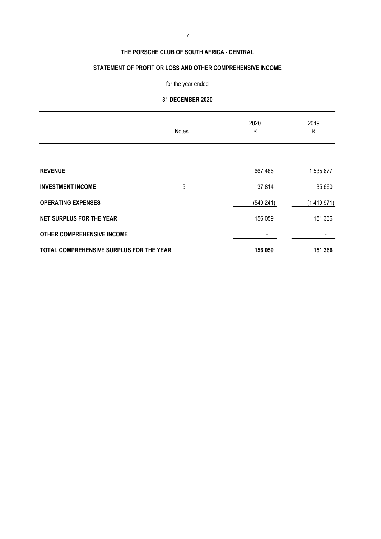## **THE PORSCHE CLUB OF SOUTH AFRICA - CENTRAL**

## **STATEMENT OF PROFIT OR LOSS AND OTHER COMPREHENSIVE INCOME**

## for the year ended

|                                          | Notes | 2020<br>$\mathsf{R}$ | 2019<br>R |
|------------------------------------------|-------|----------------------|-----------|
| <b>REVENUE</b>                           |       | 667 486              | 1 535 677 |
| <b>INVESTMENT INCOME</b>                 | 5     | 37814                | 35 660    |
| <b>OPERATING EXPENSES</b>                |       | (549241)             | (1419971) |
| <b>NET SURPLUS FOR THE YEAR</b>          |       | 156 059              | 151 366   |
| OTHER COMPREHENSIVE INCOME               |       |                      |           |
| TOTAL COMPREHENSIVE SURPLUS FOR THE YEAR |       | 156 059              | 151 366   |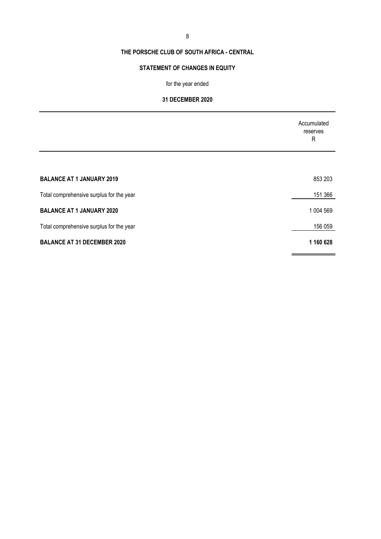# **THE PORSCHE CLUB OF SOUTH AFRICA - CENTRAL**

## **STATEMENT OF CHANGES IN EQUITY**

## for the year ended

|                                          | Accumulated<br>reserves<br>R |
|------------------------------------------|------------------------------|
|                                          |                              |
| <b>BALANCE AT 1 JANUARY 2019</b>         | 853 203                      |
| Total comprehensive surplus for the year | 151 366                      |
| <b>BALANCE AT 1 JANUARY 2020</b>         | 1 004 569                    |
| Total comprehensive surplus for the year | 156 059                      |
| <b>BALANCE AT 31 DECEMBER 2020</b>       | 1 160 628                    |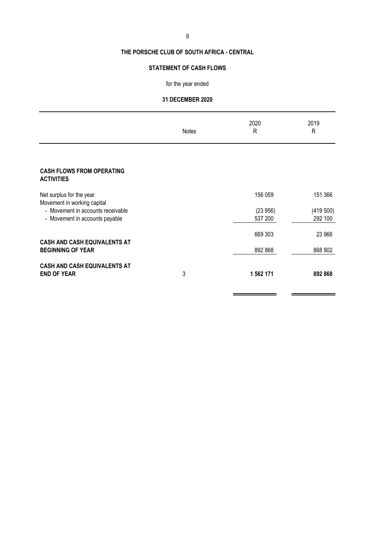## **THE PORSCHE CLUB OF SOUTH AFRICA - CENTRAL**

## **STATEMENT OF CASH FLOWS**

## for the year ended

|                                                                     | <b>Notes</b> | 2020<br>R          | 2019<br>R           |
|---------------------------------------------------------------------|--------------|--------------------|---------------------|
|                                                                     |              |                    |                     |
| <b>CASH FLOWS FROM OPERATING</b><br><b>ACTIVITIES</b>               |              |                    |                     |
| Net surplus for the year<br>Movement in working capital             |              | 156 059            | 151 366             |
| - Movement in accounts receivable<br>- Movement in accounts payable |              | (23956)<br>537 200 | (419500)<br>292 100 |
|                                                                     |              | 669 303            | 23 966              |
| <b>CASH AND CASH EQUIVALENTS AT</b><br><b>BEGINNING OF YEAR</b>     |              | 892 868            | 868 902             |
| <b>CASH AND CASH EQUIVALENTS AT</b><br><b>END OF YEAR</b>           | 3            | 1 562 171          | 892 868             |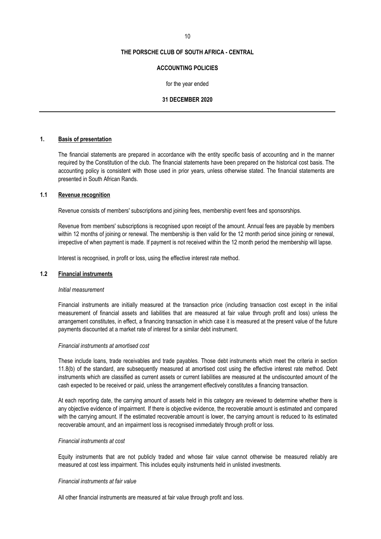### **THE PORSCHE CLUB OF SOUTH AFRICA - CENTRAL**

### **ACCOUNTING POLICIES**

for the year ended

#### **31 DECEMBER 2020**

### **1. Basis of presentation**

The financial statements are prepared in accordance with the entity specific basis of accounting and in the manner required by the Constitution of the club. The financial statements have been prepared on the historical cost basis. The accounting policy is consistent with those used in prior years, unless otherwise stated. The financial statements are presented in South African Rands.

### **1.1 Revenue recognition**

Revenue consists of members' subscriptions and joining fees, membership event fees and sponsorships.

Revenue from members' subscriptions is recognised upon receipt of the amount. Annual fees are payable by members within 12 months of joining or renewal. The membership is then valid for the 12 month period since joining or renewal, irrepective of when payment is made. If payment is not received within the 12 month period the membership will lapse.

Interest is recognised, in profit or loss, using the effective interest rate method.

#### **1.2 Financial instruments**

#### *Initial measurement*

Financial instruments are initially measured at the transaction price (including transaction cost except in the initial measurement of financial assets and liabilities that are measured at fair value through profit and loss) unless the arrangement constitutes, in effect, a financing transaction in which case it is measured at the present value of the future payments discounted at a market rate of interest for a similar debt instrument.

#### *Financial instruments at amortised cost*

These include loans, trade receivables and trade payables. Those debt instruments which meet the criteria in section 11.8(b) of the standard, are subsequently measured at amortised cost using the effective interest rate method. Debt instruments which are classified as current assets or current liabilities are measured at the undiscounted amount of the cash expected to be received or paid, unless the arrangement effectively constitutes a financing transaction.

At each reporting date, the carrying amount of assets held in this category are reviewed to determine whether there is any objective evidence of impairment. If there is objective evidence, the recoverable amount is estimated and compared with the carrying amount. If the estimated recoverable amount is lower, the carrying amount is reduced to its estimated recoverable amount, and an impairment loss is recognised immediately through profit or loss.

### *Financial instruments at cost*

Equity instruments that are not publicly traded and whose fair value cannot otherwise be measured reliably are measured at cost less impairment. This includes equity instruments held in unlisted investments.

### *Financial instruments at fair value*

All other financial instruments are measured at fair value through profit and loss.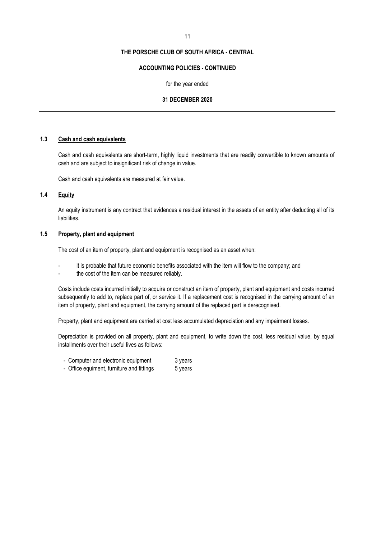### **THE PORSCHE CLUB OF SOUTH AFRICA - CENTRAL**

### **ACCOUNTING POLICIES - CONTINUED**

#### for the year ended

### **31 DECEMBER 2020**

### **1.3 Cash and cash equivalents**

Cash and cash equivalents are short-term, highly liquid investments that are readily convertible to known amounts of cash and are subject to insignificant risk of change in value.

Cash and cash equivalents are measured at fair value.

## **1.4 Equity**

An equity instrument is any contract that evidences a residual interest in the assets of an entity after deducting all of its liabilities.

### **1.5 Property, plant and equipment**

The cost of an item of property, plant and equipment is recognised as an asset when:

- it is probable that future economic benefits associated with the item will flow to the company; and
- the cost of the item can be measured reliably.

Costs include costs incurred initially to acquire or construct an item of property, plant and equipment and costs incurred subsequently to add to, replace part of, or service it. If a replacement cost is recognised in the carrying amount of an item of property, plant and equipment, the carrying amount of the replaced part is derecognised.

Property, plant and equipment are carried at cost less accumulated depreciation and any impairment losses.

Depreciation is provided on all property, plant and equipment, to write down the cost, less residual value, by equal installments over their useful lives as follows:

- Computer and electronic equipment 3 years
- Office equiment, furniture and fittings 5 years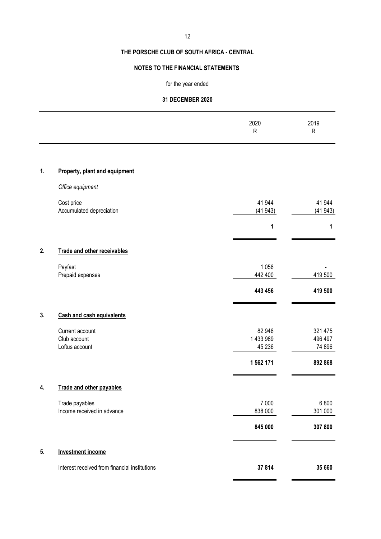# **THE PORSCHE CLUB OF SOUTH AFRICA - CENTRAL**

## **NOTES TO THE FINANCIAL STATEMENTS**

## for the year ended

|    |                                                   | 2020<br>R                     | 2019<br>R                    |
|----|---------------------------------------------------|-------------------------------|------------------------------|
|    |                                                   |                               |                              |
| 1. | <b>Property, plant and equipment</b>              |                               |                              |
|    | Office equipment                                  |                               |                              |
|    | Cost price<br>Accumulated depreciation            | 41 944<br>(41943)             | 41 944<br>(41943)            |
|    |                                                   | 1                             | 1                            |
| 2. | <b>Trade and other receivables</b>                |                               |                              |
|    | Payfast<br>Prepaid expenses                       | 1 0 5 6<br>442 400            | 419 500                      |
|    |                                                   | 443 456                       | 419 500                      |
| 3. | <b>Cash and cash equivalents</b>                  |                               |                              |
|    | Current account<br>Club account<br>Loftus account | 82 946<br>1 433 989<br>45 236 | 321 475<br>496 497<br>74 896 |
|    |                                                   | 1 562 171                     | 892 868                      |
| 4. | <b>Trade and other payables</b>                   |                               |                              |
|    | Trade payables<br>Income received in advance      | 7 000<br>838 000              | 6 800<br>301 000             |
|    |                                                   | 845 000                       | 307 800                      |
| 5. | <b>Investment income</b>                          |                               |                              |
|    | Interest received from financial institutions     | 37 814                        | 35 660                       |